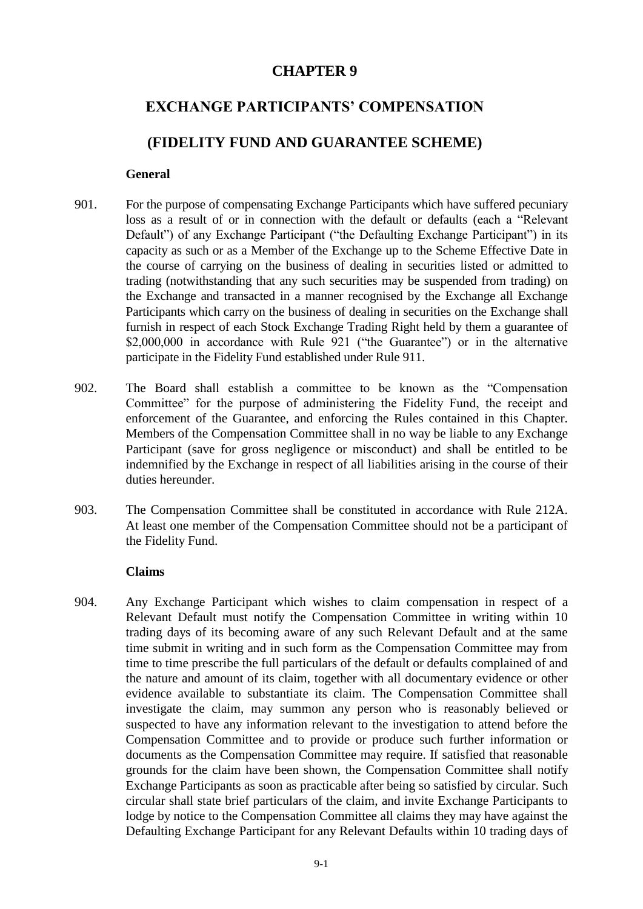# **CHAPTER 9**

# **EXCHANGE PARTICIPANTS' COMPENSATION**

# **(FIDELITY FUND AND GUARANTEE SCHEME)**

### **General**

- 901. For the purpose of compensating Exchange Participants which have suffered pecuniary loss as a result of or in connection with the default or defaults (each a "Relevant Default") of any Exchange Participant ("the Defaulting Exchange Participant") in its capacity as such or as a Member of the Exchange up to the Scheme Effective Date in the course of carrying on the business of dealing in securities listed or admitted to trading (notwithstanding that any such securities may be suspended from trading) on the Exchange and transacted in a manner recognised by the Exchange all Exchange Participants which carry on the business of dealing in securities on the Exchange shall furnish in respect of each Stock Exchange Trading Right held by them a guarantee of \$2,000,000 in accordance with Rule 921 ("the Guarantee") or in the alternative participate in the Fidelity Fund established under Rule 911.
- 902. The Board shall establish a committee to be known as the "Compensation Committee" for the purpose of administering the Fidelity Fund, the receipt and enforcement of the Guarantee, and enforcing the Rules contained in this Chapter. Members of the Compensation Committee shall in no way be liable to any Exchange Participant (save for gross negligence or misconduct) and shall be entitled to be indemnified by the Exchange in respect of all liabilities arising in the course of their duties hereunder.
- 903. The Compensation Committee shall be constituted in accordance with Rule 212A. At least one member of the Compensation Committee should not be a participant of the Fidelity Fund.

#### **Claims**

904. Any Exchange Participant which wishes to claim compensation in respect of a Relevant Default must notify the Compensation Committee in writing within 10 trading days of its becoming aware of any such Relevant Default and at the same time submit in writing and in such form as the Compensation Committee may from time to time prescribe the full particulars of the default or defaults complained of and the nature and amount of its claim, together with all documentary evidence or other evidence available to substantiate its claim. The Compensation Committee shall investigate the claim, may summon any person who is reasonably believed or suspected to have any information relevant to the investigation to attend before the Compensation Committee and to provide or produce such further information or documents as the Compensation Committee may require. If satisfied that reasonable grounds for the claim have been shown, the Compensation Committee shall notify Exchange Participants as soon as practicable after being so satisfied by circular. Such circular shall state brief particulars of the claim, and invite Exchange Participants to lodge by notice to the Compensation Committee all claims they may have against the Defaulting Exchange Participant for any Relevant Defaults within 10 trading days of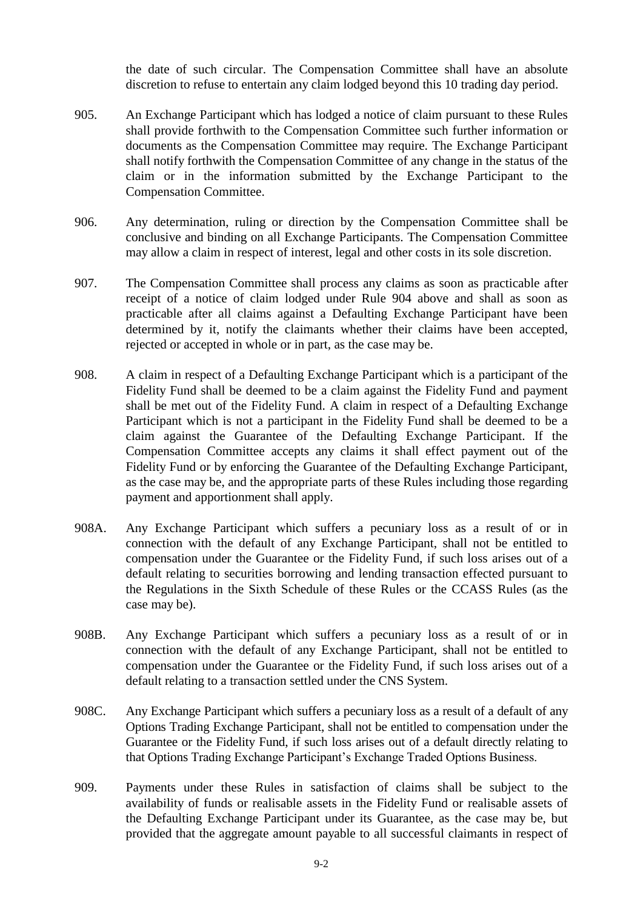the date of such circular. The Compensation Committee shall have an absolute discretion to refuse to entertain any claim lodged beyond this 10 trading day period.

- 905. An Exchange Participant which has lodged a notice of claim pursuant to these Rules shall provide forthwith to the Compensation Committee such further information or documents as the Compensation Committee may require. The Exchange Participant shall notify forthwith the Compensation Committee of any change in the status of the claim or in the information submitted by the Exchange Participant to the Compensation Committee.
- 906. Any determination, ruling or direction by the Compensation Committee shall be conclusive and binding on all Exchange Participants. The Compensation Committee may allow a claim in respect of interest, legal and other costs in its sole discretion.
- 907. The Compensation Committee shall process any claims as soon as practicable after receipt of a notice of claim lodged under Rule 904 above and shall as soon as practicable after all claims against a Defaulting Exchange Participant have been determined by it, notify the claimants whether their claims have been accepted, rejected or accepted in whole or in part, as the case may be.
- 908. A claim in respect of a Defaulting Exchange Participant which is a participant of the Fidelity Fund shall be deemed to be a claim against the Fidelity Fund and payment shall be met out of the Fidelity Fund. A claim in respect of a Defaulting Exchange Participant which is not a participant in the Fidelity Fund shall be deemed to be a claim against the Guarantee of the Defaulting Exchange Participant. If the Compensation Committee accepts any claims it shall effect payment out of the Fidelity Fund or by enforcing the Guarantee of the Defaulting Exchange Participant, as the case may be, and the appropriate parts of these Rules including those regarding payment and apportionment shall apply.
- 908A. Any Exchange Participant which suffers a pecuniary loss as a result of or in connection with the default of any Exchange Participant, shall not be entitled to compensation under the Guarantee or the Fidelity Fund, if such loss arises out of a default relating to securities borrowing and lending transaction effected pursuant to the Regulations in the Sixth Schedule of these Rules or the CCASS Rules (as the case may be).
- 908B. Any Exchange Participant which suffers a pecuniary loss as a result of or in connection with the default of any Exchange Participant, shall not be entitled to compensation under the Guarantee or the Fidelity Fund, if such loss arises out of a default relating to a transaction settled under the CNS System.
- 908C. Any Exchange Participant which suffers a pecuniary loss as a result of a default of any Options Trading Exchange Participant, shall not be entitled to compensation under the Guarantee or the Fidelity Fund, if such loss arises out of a default directly relating to that Options Trading Exchange Participant's Exchange Traded Options Business.
- 909. Payments under these Rules in satisfaction of claims shall be subject to the availability of funds or realisable assets in the Fidelity Fund or realisable assets of the Defaulting Exchange Participant under its Guarantee, as the case may be, but provided that the aggregate amount payable to all successful claimants in respect of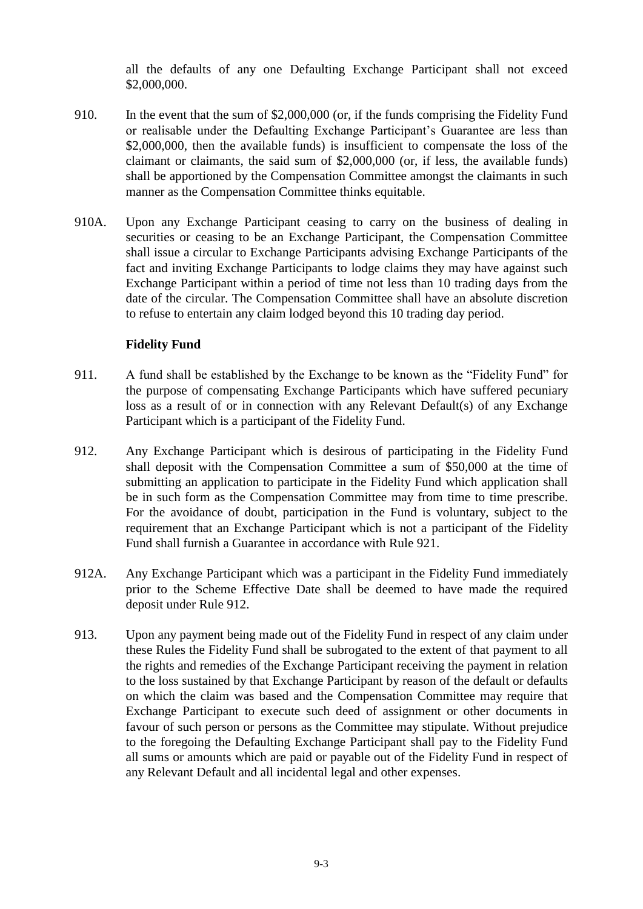all the defaults of any one Defaulting Exchange Participant shall not exceed \$2,000,000.

- 910. In the event that the sum of \$2,000,000 (or, if the funds comprising the Fidelity Fund or realisable under the Defaulting Exchange Participant's Guarantee are less than \$2,000,000, then the available funds) is insufficient to compensate the loss of the claimant or claimants, the said sum of \$2,000,000 (or, if less, the available funds) shall be apportioned by the Compensation Committee amongst the claimants in such manner as the Compensation Committee thinks equitable.
- 910A. Upon any Exchange Participant ceasing to carry on the business of dealing in securities or ceasing to be an Exchange Participant, the Compensation Committee shall issue a circular to Exchange Participants advising Exchange Participants of the fact and inviting Exchange Participants to lodge claims they may have against such Exchange Participant within a period of time not less than 10 trading days from the date of the circular. The Compensation Committee shall have an absolute discretion to refuse to entertain any claim lodged beyond this 10 trading day period.

## **Fidelity Fund**

- 911. A fund shall be established by the Exchange to be known as the "Fidelity Fund" for the purpose of compensating Exchange Participants which have suffered pecuniary loss as a result of or in connection with any Relevant Default(s) of any Exchange Participant which is a participant of the Fidelity Fund.
- 912. Any Exchange Participant which is desirous of participating in the Fidelity Fund shall deposit with the Compensation Committee a sum of \$50,000 at the time of submitting an application to participate in the Fidelity Fund which application shall be in such form as the Compensation Committee may from time to time prescribe. For the avoidance of doubt, participation in the Fund is voluntary, subject to the requirement that an Exchange Participant which is not a participant of the Fidelity Fund shall furnish a Guarantee in accordance with Rule 921.
- 912A. Any Exchange Participant which was a participant in the Fidelity Fund immediately prior to the Scheme Effective Date shall be deemed to have made the required deposit under Rule 912.
- 913. Upon any payment being made out of the Fidelity Fund in respect of any claim under these Rules the Fidelity Fund shall be subrogated to the extent of that payment to all the rights and remedies of the Exchange Participant receiving the payment in relation to the loss sustained by that Exchange Participant by reason of the default or defaults on which the claim was based and the Compensation Committee may require that Exchange Participant to execute such deed of assignment or other documents in favour of such person or persons as the Committee may stipulate. Without prejudice to the foregoing the Defaulting Exchange Participant shall pay to the Fidelity Fund all sums or amounts which are paid or payable out of the Fidelity Fund in respect of any Relevant Default and all incidental legal and other expenses.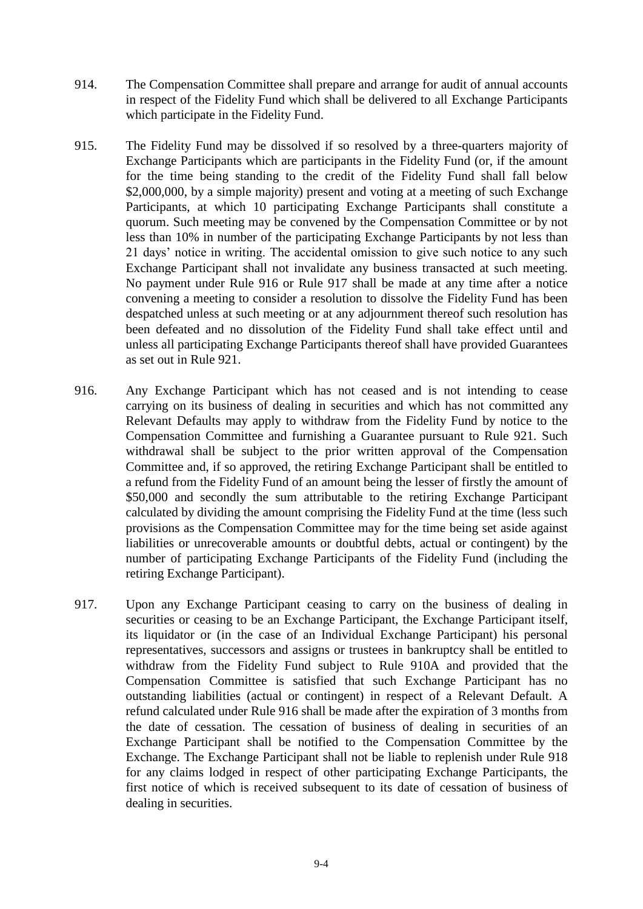- 914. The Compensation Committee shall prepare and arrange for audit of annual accounts in respect of the Fidelity Fund which shall be delivered to all Exchange Participants which participate in the Fidelity Fund.
- 915. The Fidelity Fund may be dissolved if so resolved by a three-quarters majority of Exchange Participants which are participants in the Fidelity Fund (or, if the amount for the time being standing to the credit of the Fidelity Fund shall fall below \$2,000,000, by a simple majority) present and voting at a meeting of such Exchange Participants, at which 10 participating Exchange Participants shall constitute a quorum. Such meeting may be convened by the Compensation Committee or by not less than 10% in number of the participating Exchange Participants by not less than 21 days' notice in writing. The accidental omission to give such notice to any such Exchange Participant shall not invalidate any business transacted at such meeting. No payment under Rule 916 or Rule 917 shall be made at any time after a notice convening a meeting to consider a resolution to dissolve the Fidelity Fund has been despatched unless at such meeting or at any adjournment thereof such resolution has been defeated and no dissolution of the Fidelity Fund shall take effect until and unless all participating Exchange Participants thereof shall have provided Guarantees as set out in Rule 921.
- 916. Any Exchange Participant which has not ceased and is not intending to cease carrying on its business of dealing in securities and which has not committed any Relevant Defaults may apply to withdraw from the Fidelity Fund by notice to the Compensation Committee and furnishing a Guarantee pursuant to Rule 921. Such withdrawal shall be subject to the prior written approval of the Compensation Committee and, if so approved, the retiring Exchange Participant shall be entitled to a refund from the Fidelity Fund of an amount being the lesser of firstly the amount of \$50,000 and secondly the sum attributable to the retiring Exchange Participant calculated by dividing the amount comprising the Fidelity Fund at the time (less such provisions as the Compensation Committee may for the time being set aside against liabilities or unrecoverable amounts or doubtful debts, actual or contingent) by the number of participating Exchange Participants of the Fidelity Fund (including the retiring Exchange Participant).
- 917. Upon any Exchange Participant ceasing to carry on the business of dealing in securities or ceasing to be an Exchange Participant, the Exchange Participant itself, its liquidator or (in the case of an Individual Exchange Participant) his personal representatives, successors and assigns or trustees in bankruptcy shall be entitled to withdraw from the Fidelity Fund subject to Rule 910A and provided that the Compensation Committee is satisfied that such Exchange Participant has no outstanding liabilities (actual or contingent) in respect of a Relevant Default. A refund calculated under Rule 916 shall be made after the expiration of 3 months from the date of cessation. The cessation of business of dealing in securities of an Exchange Participant shall be notified to the Compensation Committee by the Exchange. The Exchange Participant shall not be liable to replenish under Rule 918 for any claims lodged in respect of other participating Exchange Participants, the first notice of which is received subsequent to its date of cessation of business of dealing in securities.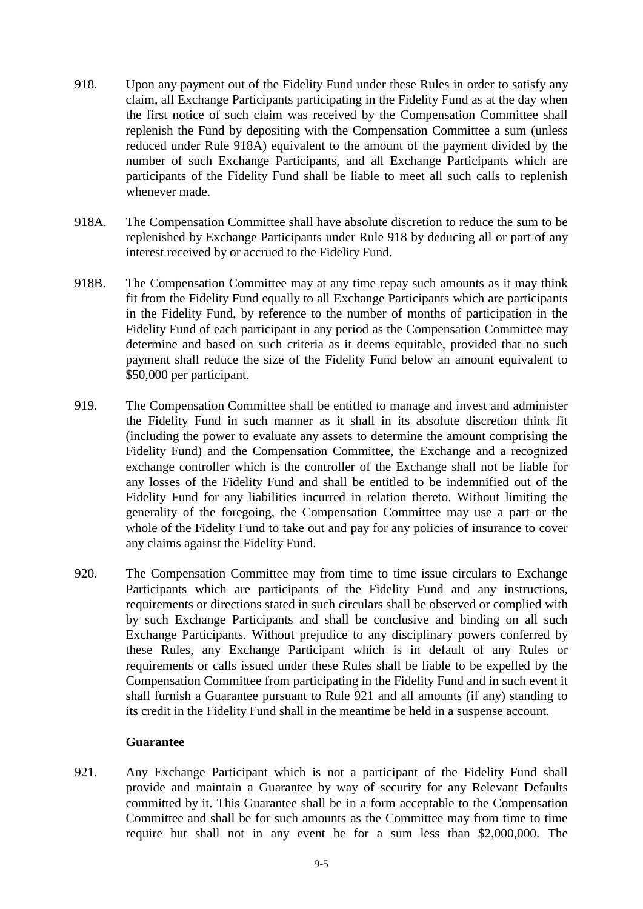- 918. Upon any payment out of the Fidelity Fund under these Rules in order to satisfy any claim, all Exchange Participants participating in the Fidelity Fund as at the day when the first notice of such claim was received by the Compensation Committee shall replenish the Fund by depositing with the Compensation Committee a sum (unless reduced under Rule 918A) equivalent to the amount of the payment divided by the number of such Exchange Participants, and all Exchange Participants which are participants of the Fidelity Fund shall be liable to meet all such calls to replenish whenever made.
- 918A. The Compensation Committee shall have absolute discretion to reduce the sum to be replenished by Exchange Participants under Rule 918 by deducing all or part of any interest received by or accrued to the Fidelity Fund.
- 918B. The Compensation Committee may at any time repay such amounts as it may think fit from the Fidelity Fund equally to all Exchange Participants which are participants in the Fidelity Fund, by reference to the number of months of participation in the Fidelity Fund of each participant in any period as the Compensation Committee may determine and based on such criteria as it deems equitable, provided that no such payment shall reduce the size of the Fidelity Fund below an amount equivalent to \$50,000 per participant.
- 919. The Compensation Committee shall be entitled to manage and invest and administer the Fidelity Fund in such manner as it shall in its absolute discretion think fit (including the power to evaluate any assets to determine the amount comprising the Fidelity Fund) and the Compensation Committee, the Exchange and a recognized exchange controller which is the controller of the Exchange shall not be liable for any losses of the Fidelity Fund and shall be entitled to be indemnified out of the Fidelity Fund for any liabilities incurred in relation thereto. Without limiting the generality of the foregoing, the Compensation Committee may use a part or the whole of the Fidelity Fund to take out and pay for any policies of insurance to cover any claims against the Fidelity Fund.
- 920. The Compensation Committee may from time to time issue circulars to Exchange Participants which are participants of the Fidelity Fund and any instructions, requirements or directions stated in such circulars shall be observed or complied with by such Exchange Participants and shall be conclusive and binding on all such Exchange Participants. Without prejudice to any disciplinary powers conferred by these Rules, any Exchange Participant which is in default of any Rules or requirements or calls issued under these Rules shall be liable to be expelled by the Compensation Committee from participating in the Fidelity Fund and in such event it shall furnish a Guarantee pursuant to Rule 921 and all amounts (if any) standing to its credit in the Fidelity Fund shall in the meantime be held in a suspense account.

### **Guarantee**

921. Any Exchange Participant which is not a participant of the Fidelity Fund shall provide and maintain a Guarantee by way of security for any Relevant Defaults committed by it. This Guarantee shall be in a form acceptable to the Compensation Committee and shall be for such amounts as the Committee may from time to time require but shall not in any event be for a sum less than \$2,000,000. The